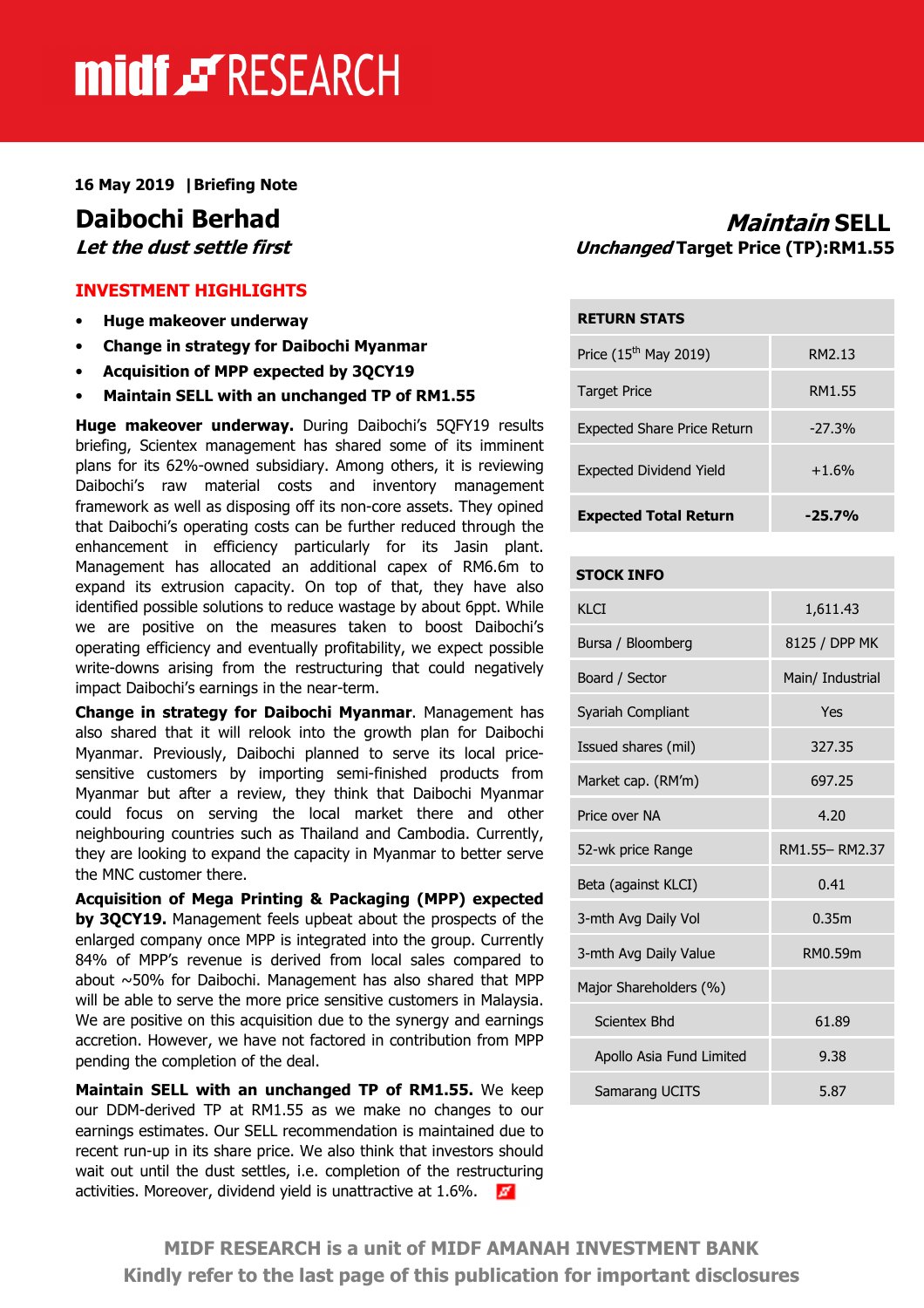# midf & RESEARCH

16 May 2019 |Briefing Note

### INVESTMENT HIGHLIGHTS

- Huge makeover underway
- Change in strategy for Daibochi Myanmar
- Acquisition of MPP expected by 3QCY19
- Maintain SELL with an unchanged TP of RM1.55

Huge makeover underway. During Daibochi's 5QFY19 results briefing, Scientex management has shared some of its imminent plans for its 62%-owned subsidiary. Among others, it is reviewing Daibochi's raw material costs and inventory management framework as well as disposing off its non-core assets. They opined that Daibochi's operating costs can be further reduced through the enhancement in efficiency particularly for its Jasin plant. Management has allocated an additional capex of RM6.6m to expand its extrusion capacity. On top of that, they have also identified possible solutions to reduce wastage by about 6ppt. While we are positive on the measures taken to boost Daibochi's operating efficiency and eventually profitability, we expect possible write-downs arising from the restructuring that could negatively impact Daibochi's earnings in the near-term.

Change in strategy for Daibochi Myanmar. Management has also shared that it will relook into the growth plan for Daibochi Myanmar. Previously, Daibochi planned to serve its local pricesensitive customers by importing semi-finished products from Myanmar but after a review, they think that Daibochi Myanmar could focus on serving the local market there and other neighbouring countries such as Thailand and Cambodia. Currently, they are looking to expand the capacity in Myanmar to better serve the MNC customer there.

Acquisition of Mega Printing & Packaging (MPP) expected by 3QCY19. Management feels upbeat about the prospects of the enlarged company once MPP is integrated into the group. Currently 84% of MPP's revenue is derived from local sales compared to about ~50% for Daibochi. Management has also shared that MPP will be able to serve the more price sensitive customers in Malaysia. We are positive on this acquisition due to the synergy and earnings accretion. However, we have not factored in contribution from MPP pending the completion of the deal.

Maintain SELL with an unchanged TP of RM1.55. We keep our DDM-derived TP at RM1.55 as we make no changes to our earnings estimates. Our SELL recommendation is maintained due to recent run-up in its share price. We also think that investors should wait out until the dust settles, i.e. completion of the restructuring activities. Moreover, dividend yield is unattractive at 1.6%.

# **Daibochi Berhad**<br>*Let the dust settle first* entries and *Maintain* SELL *Let the dust settle first* Unchanged Target Price (TP):RM1.55

| <b>RETURN STATS</b>                |                    |
|------------------------------------|--------------------|
| Price (15 <sup>th</sup> May 2019)  | RM <sub>2.13</sub> |
| <b>Target Price</b>                | RM1.55             |
| <b>Expected Share Price Return</b> | $-27.3%$           |
| <b>Expected Dividend Yield</b>     | $+1.6%$            |
| <b>Expected Total Return</b>       | $-25.7%$           |

#### STOCK INFO

| KI CT                    | 1,611.43         |  |  |
|--------------------------|------------------|--|--|
| Bursa / Bloomberg        | 8125 / DPP MK    |  |  |
| Board / Sector           | Main/ Industrial |  |  |
| Syariah Compliant        | Yes              |  |  |
| Issued shares (mil)      | 327.35           |  |  |
| Market cap. (RM'm)       | 697.25           |  |  |
| Price over NA            | 4.20             |  |  |
| 52-wk price Range        | RM1.55-RM2.37    |  |  |
| Beta (against KLCI)      | 0.41             |  |  |
| 3-mth Avg Daily Vol      | 0.35m            |  |  |
| 3-mth Avg Daily Value    | RM0.59m          |  |  |
| Major Shareholders (%)   |                  |  |  |
| Scientex Bhd             | 61.89            |  |  |
| Apollo Asia Fund Limited | 9.38             |  |  |
| Samarang UCITS           | 5.87             |  |  |

MIDF RESEARCH is a unit of MIDF AMANAH INVESTMENT BANK Kindly refer to the last page of this publication for important disclosures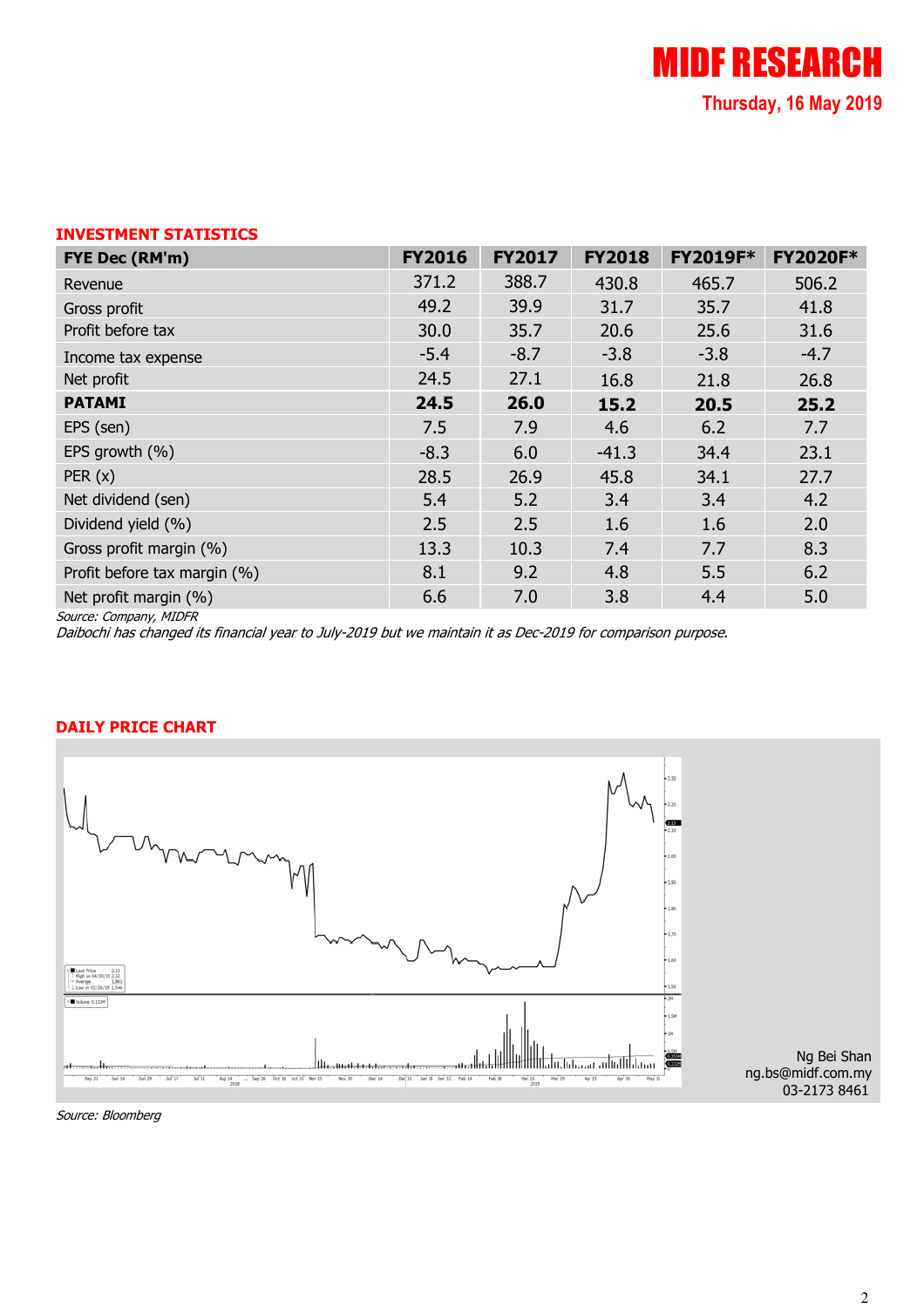## INVESTMENT STATISTICS

| FYE Dec (RM'm)               | <b>FY2016</b> | <b>FY2017</b> | <b>FY2018</b> | <b>FY2019F*</b> | <b>FY2020F*</b> |
|------------------------------|---------------|---------------|---------------|-----------------|-----------------|
| Revenue                      | 371.2         | 388.7         | 430.8         | 465.7           | 506.2           |
| Gross profit                 | 49.2          | 39.9          | 31.7          | 35.7            | 41.8            |
| Profit before tax            | 30.0          | 35.7          | 20.6          | 25.6            | 31.6            |
| Income tax expense           | $-5.4$        | $-8.7$        | $-3.8$        | $-3.8$          | $-4.7$          |
| Net profit                   | 24.5          | 27.1          | 16.8          | 21.8            | 26.8            |
| <b>PATAMI</b>                | 24.5          | 26.0          | 15.2          | 20.5            | 25.2            |
| EPS (sen)                    | 7.5           | 7.9           | 4.6           | 6.2             | 7.7             |
| EPS growth (%)               | $-8.3$        | 6.0           | $-41.3$       | 34.4            | 23.1            |
| PER(x)                       | 28.5          | 26.9          | 45.8          | 34.1            | 27.7            |
| Net dividend (sen)           | 5.4           | 5.2           | 3.4           | 3.4             | 4.2             |
| Dividend yield (%)           | 2.5           | 2.5           | 1.6           | 1.6             | 2.0             |
| Gross profit margin (%)      | 13.3          | 10.3          | 7.4           | 7.7             | 8.3             |
| Profit before tax margin (%) | 8.1           | 9.2           | 4.8           | 5.5             | 6.2             |
| Net profit margin (%)        | 6.6           | 7.0           | 3.8           | 4.4             | 5.0             |

Source: Company, MIDFR

Daibochi has changed its financial year to July-2019 but we maintain it as Dec-2019 for comparison purpose.

#### DAILY PRICE CHART



Source: Bloomberg